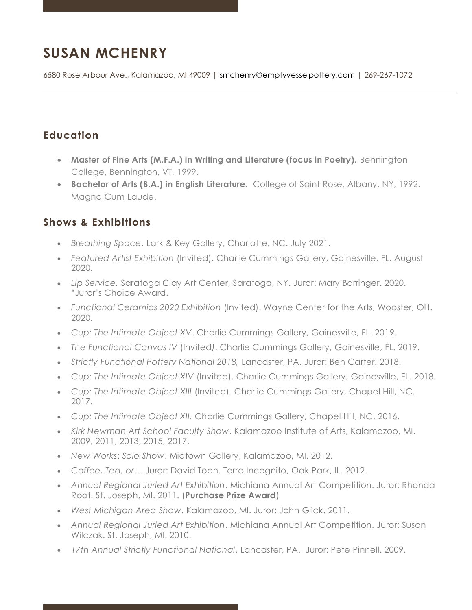# **SUSAN MCHENRY**

6580 Rose Arbour Ave., Kalamazoo, MI 49009 | [smchenry@emptyvesselpottery.com](mailto:smchenry@emptyvesselpottery.com) | 269-267-1072

## **Education**

- Master of Fine Arts (M.F.A.) in Writing and Literature (focus in Poetry). Bennington College, Bennington, VT, 1999.
- **Bachelor of Arts (B.A.) in English Literature.** College of Saint Rose, Albany, NY, 1992. Magna Cum Laude.

#### **Shows & Exhibitions**

- *Breathing Space*. Lark & Key Gallery, Charlotte, NC. July 2021.
- *Featured Artist Exhibition* (Invited). Charlie Cummings Gallery, Gainesville, FL. August 2020.
- *Lip Service.* Saratoga Clay Art Center, Saratoga, NY. Juror: Mary Barringer. 2020. \*Juror's Choice Award.
- *Functional Ceramics 2020 Exhibition* (Invited). Wayne Center for the Arts, Wooster, OH. 2020.
- *Cup: The Intimate Object XV*. Charlie Cummings Gallery, Gainesville, FL. 2019.
- *The Functional Canvas IV* (Invited*)*, Charlie Cummings Gallery, Gainesville, FL. 2019.
- *Strictly Functional Pottery National 2018,* Lancaster, PA. Juror: Ben Carter. 2018.
- *Cup: The Intimate Object XIV* (Invited). Charlie Cummings Gallery, Gainesville, FL. 2018.
- *Cup: The Intimate Object XIII* (Invited)*.* Charlie Cummings Gallery, Chapel Hill, NC. 2017.
- *Cup: The Intimate Object XII.* Charlie Cummings Gallery, Chapel Hill, NC. 2016.
- *Kirk Newman Art School Faculty Show*. Kalamazoo Institute of Arts, Kalamazoo, MI. 2009, 2011, 2013, 2015, 2017.
- *New Works*: *Solo Show*. Midtown Gallery, Kalamazoo, MI. 2012.
- *Coffee, Tea, or…* Juror: David Toan. Terra Incognito, Oak Park, IL. 2012.
- *Annual Regional Juried Art Exhibition*. Michiana Annual Art Competition. Juror: Rhonda Root. St. Joseph, MI. 2011. (**Purchase Prize Award**)
- *West Michigan Area Show*. Kalamazoo, MI. Juror: John Glick. 2011.
- *Annual Regional Juried Art Exhibition*. Michiana Annual Art Competition. Juror: Susan Wilczak. St. Joseph, MI. 2010.
- *17th Annual Strictly Functional National*, Lancaster, PA. Juror: Pete Pinnell. 2009.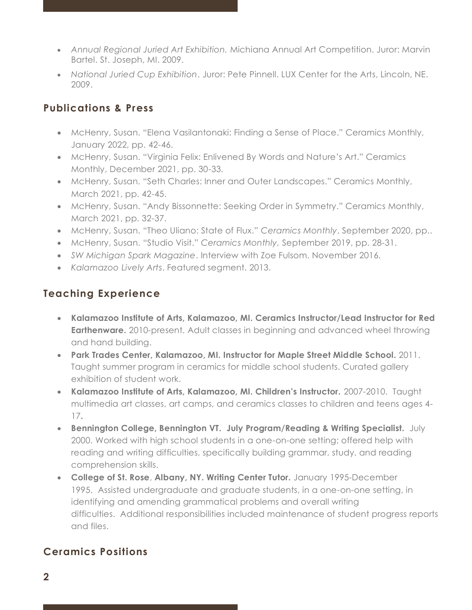- *Annual Regional Juried Art Exhibition.* Michiana Annual Art Competition. Juror: Marvin Bartel. St. Joseph, MI. 2009.
- *National Juried Cup Exhibition*. Juror: Pete Pinnell. LUX Center for the Arts, Lincoln, NE. 2009.

### **Publications & Press**

- McHenry, Susan. "Elena Vasilantonaki: Finding a Sense of Place." Ceramics Monthly, January 2022, pp. 42-46.
- McHenry, Susan. "Virginia Felix: Enlivened By Words and Nature's Art." Ceramics Monthly, December 2021, pp. 30-33.
- McHenry, Susan. "Seth Charles: Inner and Outer Landscapes." Ceramics Monthly, March 2021, pp. 42-45.
- McHenry, Susan. "Andy Bissonnette: Seeking Order in Symmetry." Ceramics Monthly, March 2021, pp. 32-37.
- McHenry, Susan. "Theo Uliano: State of Flux." *Ceramics Monthly*, September 2020, pp..
- McHenry, Susan. "Studio Visit." *Ceramics Monthly,* September 2019, pp. 28-31.
- *SW Michigan Spark Magazine*. Interview with Zoe Fulsom. November 2016.
- *Kalamazoo Lively Arts*. Featured segment. 2013.

## **Teaching Experience**

- **Kalamazoo Institute of Arts, Kalamazoo, MI. Ceramics Instructor/Lead Instructor for Red Earthenware.** 2010-present. Adult classes in beginning and advanced wheel throwing and hand building.
- **Park Trades Center, Kalamazoo, MI. Instructor for Maple Street Middle School.** 2011. Taught summer program in ceramics for middle school students. Curated gallery exhibition of student work.
- **Kalamazoo Institute of Arts, Kalamazoo, MI. Children's Instructor.** 2007-2010. Taught multimedia art classes, art camps, and ceramics classes to children and teens ages 4- 17**.**
- **Bennington College, Bennington VT. July Program/Reading & Writing Specialist.** July 2000. Worked with high school students in a one-on-one setting; offered help with reading and writing difficulties, specifically building grammar, study, and reading comprehension skills.
- **College of St. Rose**, **Albany, NY. Writing Center Tutor.** January 1995-December 1995. Assisted undergraduate and graduate students, in a one-on-one setting, in identifying and amending grammatical problems and overall writing difficulties. Additional responsibilities included maintenance of student progress reports and files.

# **Ceramics Positions**